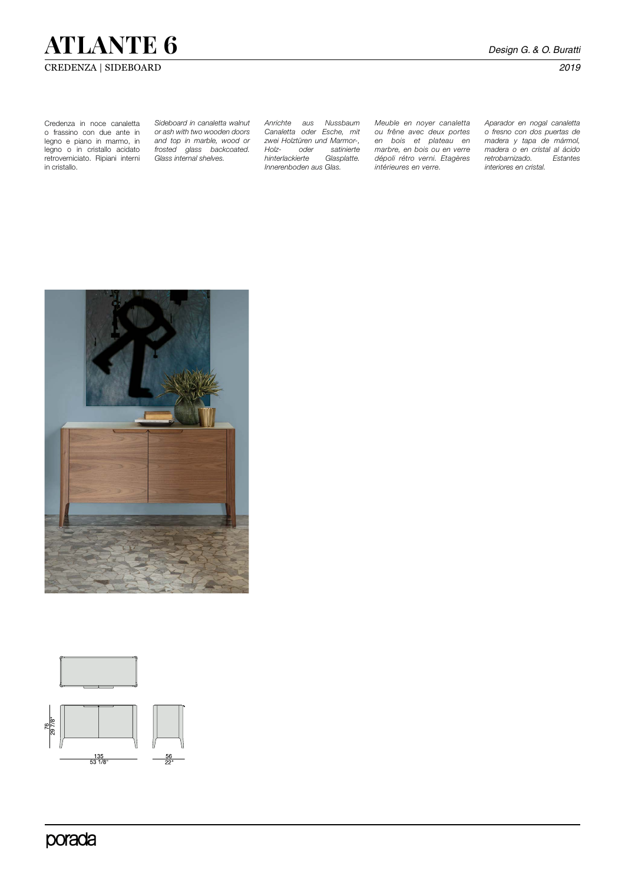# **ATLANTE 6** *Design G. & O. Buratti*

### CREDENZA | SIDEBOARD *2019*

Credenza in noce canaletta o frassino con due ante in legno e piano in marmo, in legno o in cristallo acidato retroverniciato. Ripiani interni in cristallo.

*Sideboard in canaletta walnut or ash with two wooden doors and top in marble, wood or frosted glass backcoated. Glass internal shelves.*

*Anrichte aus Nussbaum Canaletta oder Esche, mit zwei Holztüren und Marmor-, Holz- oder satinierte hinterlackierte Glasplatte. Innerenboden aus Glas.* 

*Meuble en noyer canaletta ou frêne avec deux portes en bois et plateau en marbre, en bois ou en verre dépoli rétro verni. Etagères intérieures en verre.* 

*Aparador en nogal canaletta o fresno con dos puertas de madera y tapa de mármol, madera o en cristal al ácido retrobarnizado. Estantes interiores en cristal.*





porada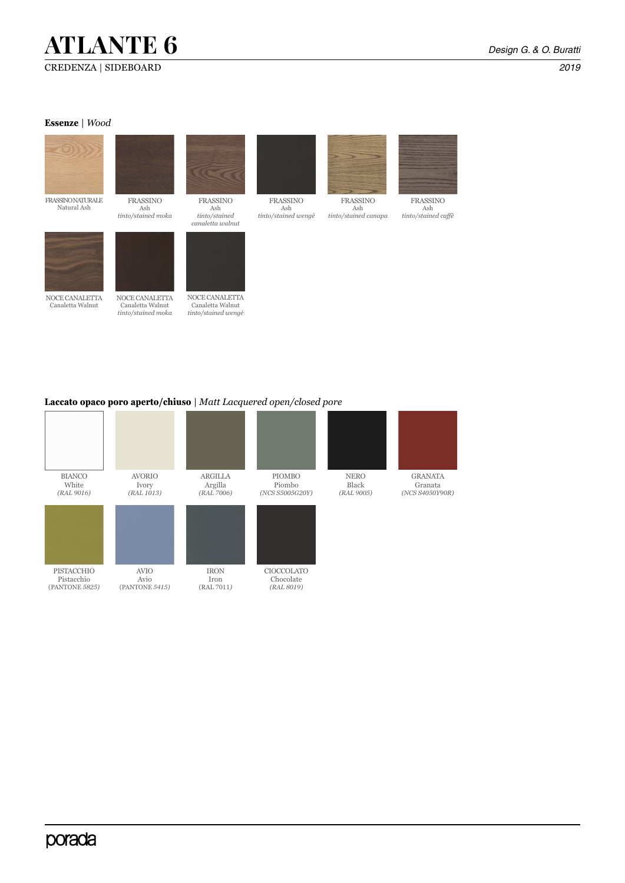# **ATLANTE 6** *Design G. & O. Buratti*

#### **Essenze** | *Wood*



### **Laccato opaco poro aperto/chiuso** | *Matt Lacquered open/closed pore*